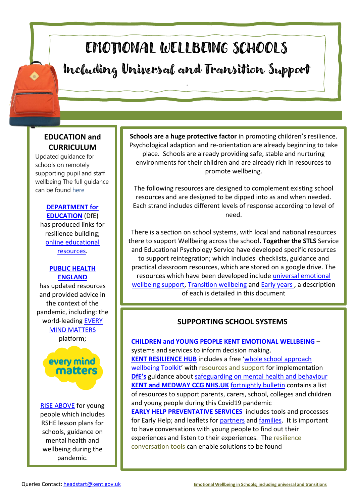# EMOTIONAL WELLBEING SCHOOLS Including Universal and Transition Support

.

# **EDUCATION and CURRICULUM**

Updated guidance for schools on remotely supporting pupil and staff wellbeing The full guidance can be found [here](https://national-childrens-bureau.mobilize.io/links?lid=kBLViMlQviwnWXuoBdDEZg&token=_Q4eOWFUUbtHiRulHdV3Vw&url=https%3A%2F%2Feur02.safelinks.protection.outlook.com%2F%3Furl%3Dhttps%253A%252F%252Fwww.gov.uk%252Fguidance%252Fsupporting-pupils-wellbeing%26data%3D02%257C01%257CDDarby%2540ncb.org.uk%257Ca08d43a628ce42e7ef0308d7fe44b074%257Cadc87355e29c4519954f95e35c776178%257C0%257C0%257C637257443285330787%26sdata%3DIKdeKFoGmT8Imrxc40RKulUaqFQJd1b0ZfhB19lfZxk%253D%26reserved%3D0)

#### **[DEPARTMENT for](https://www.gov.uk/government/organisations/department-for-education)  [EDUCATION](https://www.gov.uk/government/organisations/department-for-education)** (DfE)

has produced links for resilience building; [online educational](https://www.gov.uk/government/publications/coronavirus-covid-19-online-education-resources)  [resources.](https://www.gov.uk/government/publications/coronavirus-covid-19-online-education-resources)

#### **[PUBLIC HEALTH](https://www.gov.uk/government/organisations/public-health-england)  [ENGLAND](https://www.gov.uk/government/organisations/public-health-england)**

has updated resources and provided advice in the context of the pandemic, including: the world-leading [EVERY](https://www.nhs.uk/oneyou/every-mind-matters/)  [MIND MATTERS](https://www.nhs.uk/oneyou/every-mind-matters/) platform;

# every mind matters

[RISE ABOVE](https://www.pshe-association.org.uk/curriculum-and-resources/resources/rise-above-schools-teaching-resources) for young people which includes RSHE lesson plans for schools, guidance on mental health and wellbeing during the pandemic.

**Schools are a huge protective factor** in promoting children's resilience. Psychological adaption and re-orientation are already beginning to take place. Schools are already providing safe, stable and nurturing environments for their children and are already rich in resources to promote wellbeing.

The following resources are designed to complement existing school resources and are designed to be dipped into as and when needed. Each strand includes different levels of response according to level of need.

There is a section on school systems, with local and national resources there to support Wellbeing across the school**. Together the STLS** Service and Educational Psychology Service have developed specific resources to support reintegration; which includes checklists, guidance and practical classroom resources, which are stored on a google drive. The resources which have been developed include [universal emotional](https://drive.google.com/open?id=1enzXDSqh_qyPvHb2EUTBEqHbT6UR_K1m)  [wellbeing support,](https://drive.google.com/open?id=1enzXDSqh_qyPvHb2EUTBEqHbT6UR_K1m) [Transition wellbeing](https://drive.google.com/open?id=1bxahwQ-WD6pcZI-dh90v9J3UZbLlgd6y) and **Early years**, a description of each is detailed in this document

# **SUPPORTING SCHOOL SYSTEMS**

**[CHILDREN and YOUNG PEOPLE KENT EMOTIONAL WELLBEING](https://kentresiliencehub.org.uk/wp-content/uploads/2020/01/Kent-Emotional-Health-and-Wellbeing-System-on-a-page-professionals.pdf)** – systems and services to inform decision making. **[KENT RESILIENCE HUB](https://kentresiliencehub.org.uk/)** includes a free '[whole school approach](https://kentresiliencehub.org.uk/schools-and-communities/the-resilience-toolkit/)  [wellbeing Toolkit](https://kentresiliencehub.org.uk/schools-and-communities/the-resilience-toolkit/)' with [resources and support](https://kentresiliencehub.org.uk/schools-and-communities/the-resilience-toolkit/resources-new/) for implementation **[DfE's](https://www.gov.uk/government/organisations/department-for-education)** guidance about [safeguarding on mental health and behaviour](https://www.gov.uk/government/publications/mental-health-and-behaviour-in-schools--2) **[KENT and MEDWAY CCG NHS.UK](https://www.medwayccg.nhs.uk/)** [fortnightly bulletin](https://www.medwayccg.nhs.uk/news-events/news) contains a list of resources to support parents, carers, school, colleges and children and young people during this Covid19 pandemic **EARLY HELP PREVENTATIVE SERVICES** includes tools and processes for Early Help; and leaflets for [partners](https://www.kelsi.org.uk/__data/assets/pdf_file/0007/57409/EHPS-Leaflet-for-Partners.pdf) and [families.](https://www.kent.gov.uk/__data/assets/pdf_file/0008/88865/EHPS-Leaflet-for-Families.pdf) It is important to have conversations with young people to find out their experiences and listen to their experiences. Th[e resilience](https://kentresiliencehub.org.uk/schools-and-communities/supporting-young-people/resilience-conversations/)  [conversation tools](https://kentresiliencehub.org.uk/schools-and-communities/supporting-young-people/resilience-conversations/) can enable solutions to be found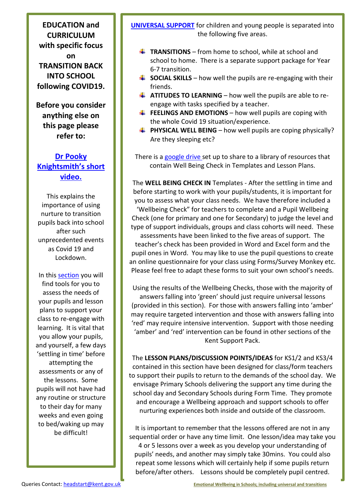**EDUCATION and CURRICULUM with specific focus on TRANSITION BACK INTO SCHOOL following COVID19.**

**Before you consider anything else on this page please refer to:**

# **[Dr Pooky](https://youtu.be/eicqCHk8dYg)  [Knightsmith's short](https://youtu.be/eicqCHk8dYg)  [video.](https://youtu.be/eicqCHk8dYg)**

This explains the importance of using nurture to transition pupils back into school after such unprecedented events as Covid 19 and Lockdown.

In this **section** you will find tools for you to assess the needs of your pupils and lesson plans to support your class to re-engage with learning. It is vital that you allow your pupils, and yourself, a few days 'settling in time' before attempting the assessments or any of the lessons. Some pupils will not have had any routine or structure to their day for many weeks and even going to bed/waking up may be difficult!

**[UNIVERSAL SUPPORT](https://drive.google.com/open?id=1enzXDSqh_qyPvHb2EUTBEqHbT6UR_K1m)** for children and young people is separated into the following five areas.

- **TRANSITIONS** from home to school, while at school and school to home. There is a separate support package for Year 6-7 transition.
- $\uparrow$  **SOCIAL SKILLS** how well the pupils are re-engaging with their friends.
- **ATITUDES TO LEARNING** how well the pupils are able to reengage with tasks specified by a teacher.
- **FEELINGS AND EMOTIONS** how well pupils are coping with the whole Covid 19 situation/experience.
- **PHYSICAL WELL BEING** how well pupils are coping physically? Are they sleeping etc?

There is a [google drive s](https://drive.google.com/open?id=1enzXDSqh_qyPvHb2EUTBEqHbT6UR_K1m)et up to share to a library of resources that contain Well Being Check in Templates and Lesson Plans.

The **WELL BEING CHECK IN** Templates - After the settling in time and before starting to work with your pupils/students, it is important for you to assess what your class needs. We have therefore included a 'Wellbeing Check" for teachers to complete and a Pupil Wellbeing Check (one for primary and one for Secondary) to judge the level and type of support individuals, groups and class cohorts will need. These assessments have been linked to the five areas of support. The teacher's check has been provided in Word and Excel form and the pupil ones in Word. You may like to use the pupil questions to create an online questionnaire for your class using Forms/Survey Monkey etc. Please feel free to adapt these forms to suit your own school's needs.

Using the results of the Wellbeing Checks, those with the majority of answers falling into 'green' should just require universal lessons (provided in this section). For those with answers falling into 'amber' may require targeted intervention and those with answers falling into 'red' may require intensive intervention. Support with those needing 'amber' and 'red' intervention can be found in other sections of the Kent Support Pack.

The **LESSON PLANS/DISCUSSION POINTS/IDEAS** for KS1/2 and KS3/4 contained in this section have been designed for class/form teachers to support their pupils to return to the demands of the school day. We envisage Primary Schools delivering the support any time during the school day and Secondary Schools during Form Time. They promote and encourage a Wellbeing approach and support schools to offer nurturing experiences both inside and outside of the classroom.

It is important to remember that the lessons offered are not in any sequential order or have any time limit. One lesson/idea may take you 4 or 5 lessons over a week as you develop your understanding of pupils' needs, and another may simply take 30mins. You could also repeat some lessons which will certainly help if some pupils return before/after others. Lessons should be completely pupil centred.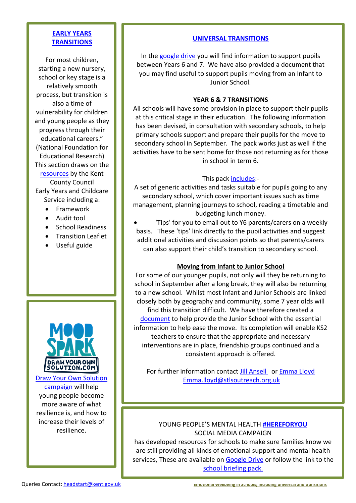#### **[EARLY YEARS](https://drive.google.com/open?id=1whI9MdoODwGoUhcGlLjjWx1KRjoqY_4E)  [TRANSITIONS](https://drive.google.com/open?id=1whI9MdoODwGoUhcGlLjjWx1KRjoqY_4E)**

For most children, starting a new nursery, school or key stage is a relatively smooth process, but transition is also a time of vulnerability for children and young people as they progress through their educational careers." (National Foundation for Educational Research) This section draws on the [resources](https://drive.google.com/open?id=1whI9MdoODwGoUhcGlLjjWx1KRjoqY_4E) by the Kent County Council Early Years and Childcare Service including a:

- Framework
- Audit tool
- School Readiness
- Transition Leaflet
- Useful guide



[campaign](http://resiliencehub1.wpengine.com/draw-your-own-solution/?utm_source=radio%20advertising&utm_medium=illustrations&utm_campaign=DYOS%20phase%201%20-%20support%20page) will help young people become more aware of what resilience is, and how to increase their levels of resilience.

#### **[UNIVERSAL TRANSITIONS](https://drive.google.com/open?id=1bxahwQ-WD6pcZI-dh90v9J3UZbLlgd6y)**

In the [google drive](https://drive.google.com/open?id=1bxahwQ-WD6pcZI-dh90v9J3UZbLlgd6y) you will find information to support pupils between Years 6 and 7. We have also provided a document that you may find useful to support pupils moving from an Infant to Junior School.

#### **YEAR 6 & 7 TRANSITIONS**

All schools will have some provision in place to support their pupils at this critical stage in their education. The following information has been devised, in consultation with secondary schools, to help primary schools support and prepare their pupils for the move to secondary school in September. The pack works just as well if the activities have to be sent home for those not returning as for those in school in term 6.

#### This pack *includes*:

A set of generic activities and tasks suitable for pupils going to any secondary school, which cover important issues such as time management, planning journeys to school, reading a timetable and budgeting lunch money.

• 'Tips' for you to email out to Y6 parents/carers on a weekly basis. These 'tips' link directly to the pupil activities and suggest additional activities and discussion points so that parents/carers can also support their child's transition to secondary school.

#### **Moving from Infant to Junior School**

For some of our younger pupils, not only will they be returning to school in September after a long break, they will also be returning to a new school. Whilst most Infant and Junior Schools are linked closely both by geography and community, some 7 year olds will find this transition difficult. We have therefore created a [document](https://drive.google.com/drive/folders/1bxahwQ-WD6pcZI-dh90v9J3UZbLlgd6y) to help provide the Junior School with the essential information to help ease the move. Its completion will enable KS2 teachers to ensure that the appropriate and necessary interventions are in place, friendship groups continued and a consistent approach is offered.

For further information contact [Jill Ansell](mailto:jansell@five-acre.kent.sch.uk) or [Emma Lloyd](mailto:Emma.lloyd@stlsoutreach.org.uk) [Draw Your Own Solution](http://resiliencehub1.wpengine.com/draw-your-own-solution/?utm_source=radio%20advertising&utm_medium=illustrations&utm_campaign=DYOS%20phase%201%20-%20support%20page) [Emma.lloyd@stlsoutreach.org.uk](mailto:Emma.lloyd@stlsoutreach.org.uk) 

#### YOUNG PEOPLE'S MENTAL HEALTH **[#HEREFORYOU](https://twitter.com/hashtag/hereforyou?ref_src=twsrc%5Egoogle%7Ctwcamp%5Eserp%7Ctwgr%5Ehashtag)** SOCIAL MEDIA CAMPAIGN

has developed resources for schools to make sure families know we are still providing all kinds of emotional support and mental health services, These are available on [Google Drive](https://drive.google.com/drive/folders/1GPMEUz_O4A79s4qlRd95iEwcpVkxsDUJ) or follow the link to the [school briefing pack.](https://www.kelsi.org.uk/__data/assets/pdf_file/0006/108951/Here-For-You-Social-Media-Campaign-school-briefing.pdf)